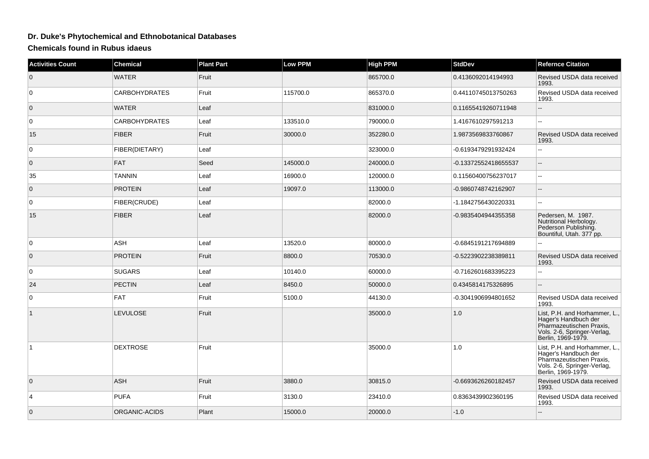## **Dr. Duke's Phytochemical and Ethnobotanical Databases**

**Chemicals found in Rubus idaeus**

| <b>Activities Count</b> | <b>Chemical</b>      | <b>Plant Part</b> | <b>Low PPM</b> | <b>High PPM</b> | <b>StdDev</b>        | <b>Refernce Citation</b>                                                                                                               |
|-------------------------|----------------------|-------------------|----------------|-----------------|----------------------|----------------------------------------------------------------------------------------------------------------------------------------|
| $\overline{0}$          | <b>WATER</b>         | Fruit             |                | 865700.0        | 0.4136092014194993   | Revised USDA data received<br>1993.                                                                                                    |
| $\mathbf 0$             | <b>CARBOHYDRATES</b> | Fruit             | 115700.0       | 865370.0        | 0.44110745013750263  | Revised USDA data received<br>1993.                                                                                                    |
| $\mathbf{0}$            | <b>WATER</b>         | Leaf              |                | 831000.0        | 0.11655419260711948  | uu.                                                                                                                                    |
| $\mathbf 0$             | <b>CARBOHYDRATES</b> | Leaf              | 133510.0       | 790000.0        | 1.4167610297591213   | ۰.                                                                                                                                     |
| 15                      | <b>FIBER</b>         | Fruit             | 30000.0        | 352280.0        | 1.9873569833760867   | Revised USDA data received<br>1993.                                                                                                    |
| 0                       | FIBER(DIETARY)       | Leaf              |                | 323000.0        | -0.6193479291932424  | Ξ.                                                                                                                                     |
| $\overline{0}$          | <b>FAT</b>           | Seed              | 145000.0       | 240000.0        | -0.13372552418655537 | $\overline{a}$                                                                                                                         |
| 35                      | <b>TANNIN</b>        | Leaf              | 16900.0        | 120000.0        | 0.11560400756237017  | Ξ.                                                                                                                                     |
| $\overline{0}$          | <b>PROTEIN</b>       | Leaf              | 19097.0        | 113000.0        | -0.9860748742162907  | $\overline{\phantom{a}}$                                                                                                               |
| 0                       | FIBER(CRUDE)         | Leaf              |                | 82000.0         | -1.1842756430220331  | шш.                                                                                                                                    |
| 15                      | <b>FIBER</b>         | Leaf              |                | 82000.0         | -0.9835404944355358  | Pedersen, M. 1987.<br>Nutritional Herbology.<br>Pederson Publishing.<br>Bountiful, Utah. 377 pp.                                       |
| $\mathbf 0$             | ASH                  | Leaf              | 13520.0        | 80000.0         | -0.6845191217694889  | 44                                                                                                                                     |
| $\overline{0}$          | <b>PROTEIN</b>       | Fruit             | 8800.0         | 70530.0         | -0.5223902238389811  | Revised USDA data received<br>1993.                                                                                                    |
| 0                       | <b>SUGARS</b>        | Leaf              | 10140.0        | 60000.0         | -0.7162601683395223  | --                                                                                                                                     |
| 24                      | <b>PECTIN</b>        | Leaf              | 8450.0         | 50000.0         | 0.4345814175326895   | $-$                                                                                                                                    |
| $\mathbf 0$             | <b>FAT</b>           | Fruit             | 5100.0         | 44130.0         | -0.3041906994801652  | Revised USDA data received<br>1993.                                                                                                    |
| $\vert$ 1               | <b>LEVULOSE</b>      | Fruit             |                | 35000.0         | 1.0                  | List, P.H. and Horhammer, L.,<br>Hager's Handbuch der<br>Pharmazeutischen Praxis,<br>Vols. 2-6, Springer-Verlag,<br>Berlin, 1969-1979. |
| $\mathbf{1}$            | <b>DEXTROSE</b>      | Fruit             |                | 35000.0         | 1.0                  | List, P.H. and Horhammer, L.,<br>Hager's Handbuch der<br>Pharmazeutischen Praxis,<br>Vols. 2-6, Springer-Verlag,<br>Berlin, 1969-1979. |
| $\overline{0}$          | <b>ASH</b>           | Fruit             | 3880.0         | 30815.0         | -0.6693626260182457  | Revised USDA data received<br>1993.                                                                                                    |
| 4                       | <b>PUFA</b>          | Fruit             | 3130.0         | 23410.0         | 0.8363439902360195   | Revised USDA data received<br>1993.                                                                                                    |
| $\mathbf{0}$            | ORGANIC-ACIDS        | Plant             | 15000.0        | 20000.0         | $-1.0$               |                                                                                                                                        |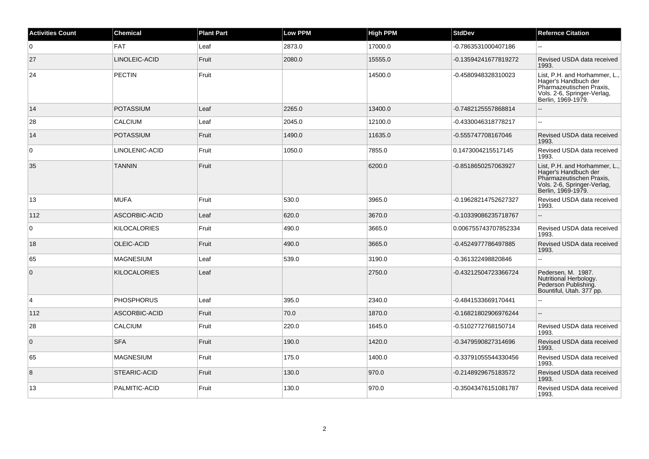| <b>Activities Count</b> | <b>Chemical</b>     | <b>Plant Part</b> | <b>Low PPM</b> | <b>High PPM</b> | <b>StdDev</b>        | <b>Refernce Citation</b>                                                                                                               |
|-------------------------|---------------------|-------------------|----------------|-----------------|----------------------|----------------------------------------------------------------------------------------------------------------------------------------|
| $\overline{0}$          | <b>FAT</b>          | Leaf              | 2873.0         | 17000.0         | -0.7863531000407186  |                                                                                                                                        |
| 27                      | LINOLEIC-ACID       | Fruit             | 2080.0         | 15555.0         | -0.13594241677819272 | Revised USDA data received<br>1993.                                                                                                    |
| 24                      | <b>PECTIN</b>       | Fruit             |                | 14500.0         | -0.4580948328310023  | List, P.H. and Horhammer, L.,<br>Hager's Handbuch der<br>Pharmazeutischen Praxis,<br>Vols. 2-6, Springer-Verlag,<br>Berlin, 1969-1979. |
| 14                      | <b>POTASSIUM</b>    | Leaf              | 2265.0         | 13400.0         | -0.7482125557868814  |                                                                                                                                        |
| 28                      | <b>CALCIUM</b>      | Leaf              | 2045.0         | 12100.0         | -0.4330046318778217  | $\sim$                                                                                                                                 |
| 14                      | <b>POTASSIUM</b>    | Fruit             | 1490.0         | 11635.0         | -0.555747708167046   | Revised USDA data received<br>1993.                                                                                                    |
| $\overline{0}$          | LINOLENIC-ACID      | Fruit             | 1050.0         | 7855.0          | 0.1473004215517145   | Revised USDA data received<br>1993.                                                                                                    |
| 35                      | <b>TANNIN</b>       | Fruit             |                | 6200.0          | -0.8518650257063927  | List, P.H. and Horhammer, L.,<br>Hager's Handbuch der<br>Pharmazeutischen Praxis,<br>Vols. 2-6, Springer-Verlag,<br>Berlin, 1969-1979. |
| 13                      | <b>MUFA</b>         | Fruit             | 530.0          | 3965.0          | -0.19628214752627327 | Revised USDA data received<br>1993.                                                                                                    |
| 112                     | ASCORBIC-ACID       | Leaf              | 620.0          | 3670.0          | -0.10339086235718767 | $\sim$                                                                                                                                 |
| $\overline{0}$          | KILOCALORIES        | Fruit             | 490.0          | 3665.0          | 0.006755743707852334 | Revised USDA data received<br>1993.                                                                                                    |
| 18                      | OLEIC-ACID          | Fruit             | 490.0          | 3665.0          | -0.4524977786497885  | Revised USDA data received<br>1993.                                                                                                    |
| 65                      | <b>MAGNESIUM</b>    | Leaf              | 539.0          | 3190.0          | -0.361322498820846   |                                                                                                                                        |
| $\overline{0}$          | <b>KILOCALORIES</b> | Leaf              |                | 2750.0          | -0.43212504723366724 | Pedersen, M. 1987.<br>Nutritional Herbology.<br>Pederson Publishing.<br>Bountiful, Utah. 377 pp.                                       |
| $\overline{4}$          | <b>PHOSPHORUS</b>   | Leaf              | 395.0          | 2340.0          | -0.4841533669170441  |                                                                                                                                        |
| 112                     | ASCORBIC-ACID       | Fruit             | 70.0           | 1870.0          | -0.16821802906976244 | $\sim$                                                                                                                                 |
| 28                      | <b>CALCIUM</b>      | Fruit             | 220.0          | 1645.0          | -0.5102772768150714  | Revised USDA data received<br>1993.                                                                                                    |
| $\overline{0}$          | <b>SFA</b>          | Fruit             | 190.0          | 1420.0          | -0.3479590827314696  | Revised USDA data received<br>1993.                                                                                                    |
| 65                      | <b>MAGNESIUM</b>    | Fruit             | 175.0          | 1400.0          | -0.33791055544330456 | Revised USDA data received<br>1993.                                                                                                    |
| 8                       | STEARIC-ACID        | Fruit             | 130.0          | 970.0           | -0.2148929675183572  | Revised USDA data received<br>1993.                                                                                                    |
| 13                      | PALMITIC-ACID       | Fruit             | 130.0          | 970.0           | -0.35043476151081787 | Revised USDA data received<br>1993.                                                                                                    |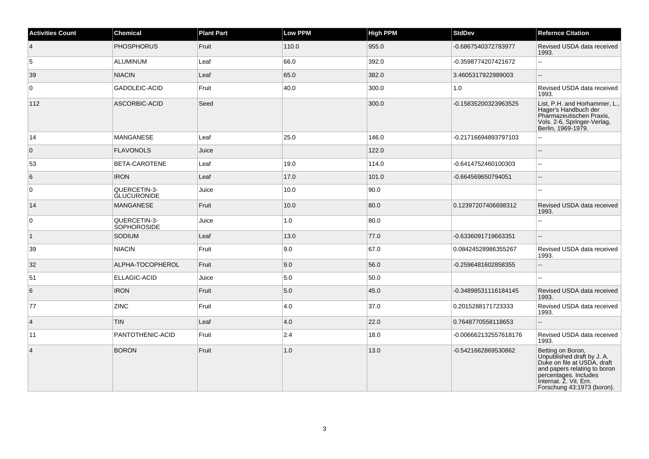| <b>Activities Count</b> | <b>Chemical</b>                    | <b>Plant Part</b> | Low PPM | <b>High PPM</b> | <b>StdDev</b>         | <b>Refernce Citation</b>                                                                                                                                                                        |
|-------------------------|------------------------------------|-------------------|---------|-----------------|-----------------------|-------------------------------------------------------------------------------------------------------------------------------------------------------------------------------------------------|
| $\overline{4}$          | <b>PHOSPHORUS</b>                  | Fruit             | 110.0   | 955.0           | -0.6867540372783977   | Revised USDA data received<br>1993.                                                                                                                                                             |
| 5                       | <b>ALUMINUM</b>                    | Leaf              | 66.0    | 392.0           | -0.3598774207421672   | 44                                                                                                                                                                                              |
| 39                      | <b>NIACIN</b>                      | Leaf              | 65.0    | 382.0           | 3.4605317922989003    | $-$                                                                                                                                                                                             |
| $\mathbf 0$             | GADOLEIC-ACID                      | Fruit             | 40.0    | 300.0           | 1.0                   | Revised USDA data received<br>1993.                                                                                                                                                             |
| 112                     | ASCORBIC-ACID                      | Seed              |         | 300.0           | -0.15835200323963525  | List, P.H. and Horhammer, L.,<br>Hager's Handbuch der<br>Pharmazeutischen Praxis,<br>Vols. 2-6, Springer-Verlag,<br>Berlin, 1969-1979.                                                          |
| 14                      | <b>MANGANESE</b>                   | Leaf              | 25.0    | 146.0           | -0.21716694893797103  |                                                                                                                                                                                                 |
| $\overline{0}$          | <b>FLAVONOLS</b>                   | Juice             |         | 122.0           |                       | $-$                                                                                                                                                                                             |
| 53                      | BETA-CAROTENE                      | Leaf              | 19.0    | 114.0           | -0.6414752460100303   | $\overline{a}$                                                                                                                                                                                  |
| 6                       | <b>IRON</b>                        | Leaf              | 17.0    | 101.0           | -0.664569650794051    | н.                                                                                                                                                                                              |
| $\overline{0}$          | QUERCETIN-3-<br><b>GLUCURONIDE</b> | Juice             | 10.0    | 90.0            |                       | L.                                                                                                                                                                                              |
| 14                      | <b>MANGANESE</b>                   | Fruit             | 10.0    | 80.0            | 0.12397207406698312   | Revised USDA data received<br>1993.                                                                                                                                                             |
| 0                       | QUERCETIN-3-<br>SOPHOROSIDE        | Juice             | 1.0     | 80.0            |                       |                                                                                                                                                                                                 |
| $\overline{1}$          | <b>SODIUM</b>                      | Leaf              | 13.0    | 77.0            | -0.6336091719663351   | $\overline{a}$                                                                                                                                                                                  |
| 39                      | <b>NIACIN</b>                      | Fruit             | 9.0     | 67.0            | 0.08424528986355267   | Revised USDA data received<br>1993.                                                                                                                                                             |
| 32                      | ALPHA-TOCOPHEROL                   | Fruit             | 9.0     | 56.0            | -0.2596481602858355   | ÷.                                                                                                                                                                                              |
| 51                      | ELLAGIC-ACID                       | Juice             | 5.0     | 50.0            |                       |                                                                                                                                                                                                 |
| 6                       | <b>IRON</b>                        | Fruit             | 5.0     | 45.0            | -0.34898531116184145  | Revised USDA data received<br>1993.                                                                                                                                                             |
| 77                      | <b>ZINC</b>                        | Fruit             | 4.0     | 37.0            | 0.2015288171723333    | Revised USDA data received<br>1993.                                                                                                                                                             |
| $\vert$ 4               | <b>TIN</b>                         | Leaf              | 4.0     | 22.0            | 0.7648770558118653    | L.                                                                                                                                                                                              |
| 11                      | PANTOTHENIC-ACID                   | Fruit             | 2.4     | 18.0            | -0.006662132557618176 | Revised USDA data received<br>1993.                                                                                                                                                             |
| $\overline{4}$          | <b>BORON</b>                       | Fruit             | 1.0     | 13.0            | -0.5421662869530862   | Betting on Boron,<br>Unpublished draft by J. A.<br>Duke on file at USDA, draft<br>and papers relating to boron<br>percentages. Includes<br>Internat. Z. Vit. Ern.<br>Forschung 43:1973 (boron). |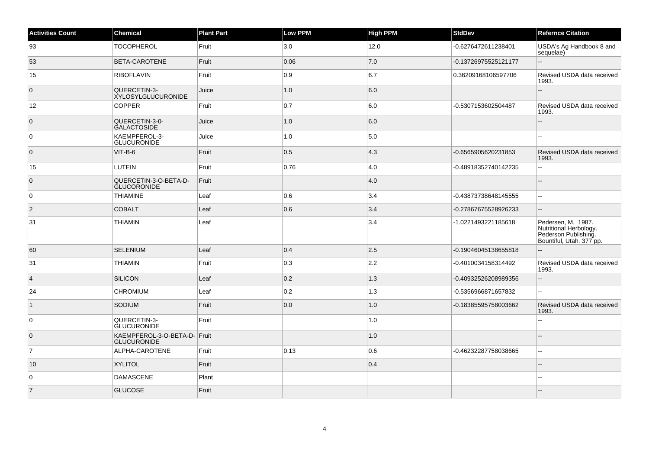| <b>Activities Count</b> | Chemical                                           | <b>Plant Part</b> | Low PPM | <b>High PPM</b> | <b>StdDev</b>        | <b>Refernce Citation</b>                                                                         |
|-------------------------|----------------------------------------------------|-------------------|---------|-----------------|----------------------|--------------------------------------------------------------------------------------------------|
| 93                      | <b>TOCOPHEROL</b>                                  | Fruit             | 3.0     | 12.0            | -0.6276472611238401  | USDA's Ag Handbook 8 and<br>sequelae)                                                            |
| 53                      | BETA-CAROTENE                                      | Fruit             | 0.06    | 7.0             | -0.13726975525121177 | L.                                                                                               |
| 15                      | <b>RIBOFLAVIN</b>                                  | Fruit             | 0.9     | 6.7             | 0.36209168106597706  | Revised USDA data received<br>1993.                                                              |
| $\overline{0}$          | QUERCETIN-3-<br><b>XYLOSYLGLUCURONIDE</b>          | Juice             | 1.0     | 6.0             |                      |                                                                                                  |
| 12                      | <b>COPPER</b>                                      | Fruit             | 0.7     | 6.0             | -0.5307153602504487  | Revised USDA data received<br>1993.                                                              |
| $\overline{0}$          | QUERCETIN-3-0-<br>GALACTOSIDE                      | Juice             | 1.0     | 6.0             |                      |                                                                                                  |
| $\overline{0}$          | KAEMPFEROL-3-<br><b>GLUCURONIDE</b>                | Juice             | 1.0     | 5.0             |                      |                                                                                                  |
| $\overline{0}$          | VIT-B-6                                            | Fruit             | 0.5     | $ 4.3\rangle$   | -0.6565905620231853  | Revised USDA data received<br>1993.                                                              |
| 15                      | <b>LUTEIN</b>                                      | Fruit             | 0.76    | 4.0             | -0.48918352740142235 | Ξ.                                                                                               |
| $\overline{0}$          | QUERCETIN-3-O-BETA-D-<br><b>GLUCORONIDE</b>        | Fruit             |         | 4.0             |                      | --                                                                                               |
| $\overline{0}$          | <b>THIAMINE</b>                                    | Leaf              | 0.6     | 3.4             | -0.43873738648145555 | $\overline{a}$                                                                                   |
| $\overline{2}$          | <b>COBALT</b>                                      | Leaf              | 0.6     | 3.4             | -0.27867675528926233 |                                                                                                  |
| 31                      | <b>THIAMIN</b>                                     | Leaf              |         | 3.4             | -1.0221493221185618  | Pedersen, M. 1987.<br>Nutritional Herbology.<br>Pederson Publishing.<br>Bountiful, Utah. 377 pp. |
| 60                      | <b>SELENIUM</b>                                    | Leaf              | 0.4     | 2.5             | -0.19046045138655818 |                                                                                                  |
| 31                      | <b>THIAMIN</b>                                     | Fruit             | 0.3     | 2.2             | -0.4010034158314492  | Revised USDA data received<br>1993.                                                              |
| $\overline{4}$          | <b>SILICON</b>                                     | Leaf              | 0.2     | 1.3             | -0.40932526208989356 |                                                                                                  |
| 24                      | <b>CHROMIUM</b>                                    | Leaf              | 0.2     | 1.3             | -0.5356966871657832  | --                                                                                               |
| $\vert$ 1               | <b>SODIUM</b>                                      | Fruit             | 0.0     | 1.0             | -0.18385595758003662 | Revised USDA data received<br>1993.                                                              |
| $\overline{0}$          | QUERCETIN-3-<br><b>GLUCURONIDE</b>                 | Fruit             |         | 1.0             |                      |                                                                                                  |
| $\overline{0}$          | KAEMPFEROL-3-O-BETA-D- Fruit<br><b>GLUCURONIDE</b> |                   |         | 1.0             |                      |                                                                                                  |
| $\overline{7}$          | ALPHA-CAROTENE                                     | Fruit             | 0.13    | 0.6             | -0.46232287758038665 | $\overline{a}$                                                                                   |
| 10                      | <b>XYLITOL</b>                                     | Fruit             |         | 0.4             |                      |                                                                                                  |
| $\overline{0}$          | <b>DAMASCENE</b>                                   | Plant             |         |                 |                      |                                                                                                  |
| 7                       | <b>GLUCOSE</b>                                     | Fruit             |         |                 |                      |                                                                                                  |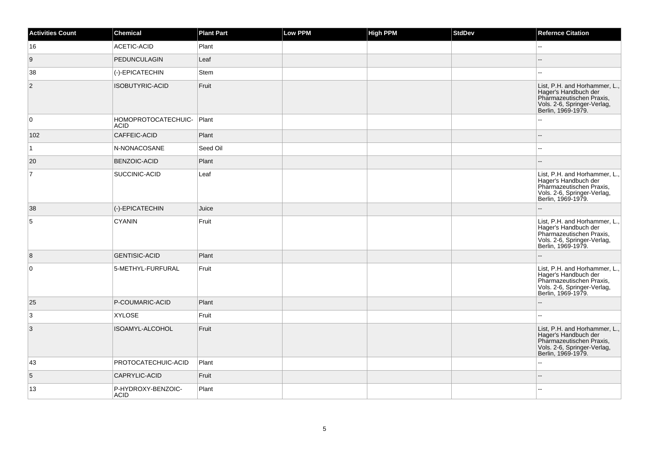| <b>Activities Count</b>   | Chemical                           | <b>Plant Part</b> | <b>Low PPM</b> | <b>High PPM</b> | <b>StdDev</b> | <b>Refernce Citation</b>                                                                                                               |
|---------------------------|------------------------------------|-------------------|----------------|-----------------|---------------|----------------------------------------------------------------------------------------------------------------------------------------|
| 16                        | ACETIC-ACID                        | Plant             |                |                 |               |                                                                                                                                        |
| 9                         | <b>PEDUNCULAGIN</b>                | Leaf              |                |                 |               |                                                                                                                                        |
| 38                        | (-)-EPICATECHIN                    | Stem              |                |                 |               |                                                                                                                                        |
| $\overline{c}$            | <b>ISOBUTYRIC-ACID</b>             | Fruit             |                |                 |               | List, P.H. and Horhammer, L.<br>Hager's Handbuch der<br>Pharmazeutischen Praxis,<br>Vols. 2-6, Springer-Verlag,<br>Berlin, 1969-1979.  |
| 0                         | HOMOPROTOCATECHUIC-<br><b>ACID</b> | Plant             |                |                 |               |                                                                                                                                        |
| 102                       | CAFFEIC-ACID                       | Plant             |                |                 |               |                                                                                                                                        |
| $\mathbf{1}$              | N-NONACOSANE                       | Seed Oil          |                |                 |               |                                                                                                                                        |
| 20                        | BENZOIC-ACID                       | Plant             |                |                 |               |                                                                                                                                        |
| $\overline{7}$            | SUCCINIC-ACID                      | Leaf              |                |                 |               | List, P.H. and Horhammer, L.,<br>Hager's Handbuch der<br>Pharmazeutischen Praxis,<br>Vols. 2-6, Springer-Verlag,<br>Berlin, 1969-1979. |
| 38                        | (-)-EPICATECHIN                    | Juice             |                |                 |               |                                                                                                                                        |
| 5                         | <b>CYANIN</b>                      | Fruit             |                |                 |               | List, P.H. and Horhammer, L.,<br>Hager's Handbuch der<br>Pharmazeutischen Praxis,<br>Vols. 2-6, Springer-Verlag,<br>Berlin, 1969-1979. |
| 8                         | <b>GENTISIC-ACID</b>               | Plant             |                |                 |               |                                                                                                                                        |
| $\pmb{0}$                 | 5-METHYL-FURFURAL                  | Fruit             |                |                 |               | List, P.H. and Horhammer, L.,<br>Hager's Handbuch der<br>Pharmazeutischen Praxis,<br>Vols. 2-6, Springer-Verlag,<br>Berlin, 1969-1979. |
| 25                        | P-COUMARIC-ACID                    | Plant             |                |                 |               |                                                                                                                                        |
| 3                         | <b>XYLOSE</b>                      | Fruit             |                |                 |               |                                                                                                                                        |
| $\ensuremath{\mathsf{3}}$ | ISOAMYL-ALCOHOL                    | Fruit             |                |                 |               | List, P.H. and Horhammer, L.<br>Hager's Handbuch der<br>Pharmazeutischen Praxis,<br>Vols. 2-6, Springer-Verlag,<br>Berlin, 1969-1979.  |
| 43                        | PROTOCATECHUIC-ACID                | Plant             |                |                 |               |                                                                                                                                        |
| 5                         | CAPRYLIC-ACID                      | Fruit             |                |                 |               |                                                                                                                                        |
| 13                        | P-HYDROXY-BENZOIC-<br><b>ACID</b>  | Plant             |                |                 |               |                                                                                                                                        |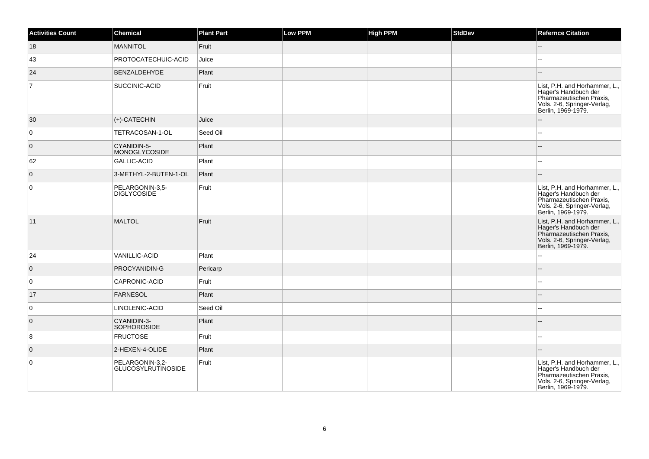| <b>Activities Count</b> | <b>Chemical</b>                       | <b>Plant Part</b> | Low PPM | <b>High PPM</b> | <b>StdDev</b> | <b>Refernce Citation</b>                                                                                                               |
|-------------------------|---------------------------------------|-------------------|---------|-----------------|---------------|----------------------------------------------------------------------------------------------------------------------------------------|
| 18                      | <b>MANNITOL</b>                       | Fruit             |         |                 |               |                                                                                                                                        |
| 43                      | PROTOCATECHUIC-ACID                   | Juice             |         |                 |               |                                                                                                                                        |
| 24                      | BENZALDEHYDE                          | Plant             |         |                 |               |                                                                                                                                        |
| $\overline{7}$          | SUCCINIC-ACID                         | Fruit             |         |                 |               | List, P.H. and Horhammer, L.,<br>Hager's Handbuch der<br>Pharmazeutischen Praxis,<br>Vols. 2-6, Springer-Verlag,<br>Berlin, 1969-1979. |
| 30                      | $ $ (+)-CATECHIN                      | Juice             |         |                 |               |                                                                                                                                        |
| $\overline{0}$          | TETRACOSAN-1-OL                       | Seed Oil          |         |                 |               | --                                                                                                                                     |
| $\overline{0}$          | CYANIDIN-5-<br>MONOGLYCOSIDE          | Plant             |         |                 |               |                                                                                                                                        |
| 62                      | <b>GALLIC-ACID</b>                    | Plant             |         |                 |               | 44                                                                                                                                     |
| $\overline{0}$          | 3-METHYL-2-BUTEN-1-OL                 | Plant             |         |                 |               | --                                                                                                                                     |
| $\overline{0}$          | PELARGONIN-3,5-<br><b>DIGLYCOSIDE</b> | Fruit             |         |                 |               | List, P.H. and Horhammer, L.,<br>Hager's Handbuch der<br>Pharmazeutischen Praxis,<br>Vols. 2-6, Springer-Verlag,<br>Berlin, 1969-1979. |
| 11                      | MALTOL                                | Fruit             |         |                 |               | List, P.H. and Horhammer, L.,<br>Hager's Handbuch der<br>Pharmazeutischen Praxis,<br>Vols. 2-6, Springer-Verlag,<br>Berlin, 1969-1979. |
| 24                      | VANILLIC-ACID                         | Plant             |         |                 |               |                                                                                                                                        |
| $\overline{0}$          | PROCYANIDIN-G                         | Pericarp          |         |                 |               |                                                                                                                                        |
| 0                       | CAPRONIC-ACID                         | Fruit             |         |                 |               | 44                                                                                                                                     |
| 17                      | <b>FARNESOL</b>                       | Plant             |         |                 |               |                                                                                                                                        |
| $\overline{0}$          | LINOLENIC-ACID                        | Seed Oil          |         |                 |               | $\overline{a}$                                                                                                                         |
| $\overline{0}$          | CYANIDIN-3-<br><b>SOPHOROSIDE</b>     | Plant             |         |                 |               |                                                                                                                                        |
| 8                       | <b>FRUCTOSE</b>                       | Fruit             |         |                 |               | --                                                                                                                                     |
| $\overline{0}$          | 2-HEXEN-4-OLIDE                       | Plant             |         |                 |               | --                                                                                                                                     |
| $\overline{0}$          | PELARGONIN-3,2-<br>GLUCOSYLRUTINOSIDE | Fruit             |         |                 |               | List, P.H. and Horhammer, L.,<br>Hager's Handbuch der<br>Pharmazeutischen Praxis,<br>Vols. 2-6, Springer-Verlag,<br>Berlin, 1969-1979. |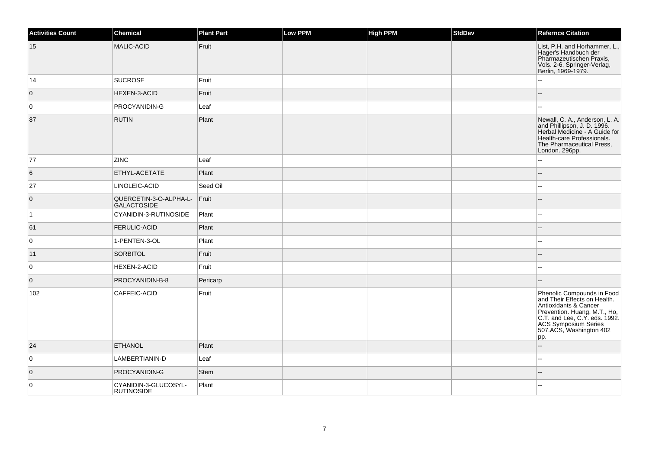| <b>Activities Count</b> | Chemical                                  | <b>Plant Part</b> | Low PPM | <b>High PPM</b> | StdDev | <b>Refernce Citation</b>                                                                                                                                                                                              |
|-------------------------|-------------------------------------------|-------------------|---------|-----------------|--------|-----------------------------------------------------------------------------------------------------------------------------------------------------------------------------------------------------------------------|
| 15                      | MALIC-ACID                                | Fruit             |         |                 |        | List, P.H. and Horhammer, L.,<br>Hager's Handbuch der<br>Pharmazeutischen Praxis,<br>Vols. 2-6, Springer-Verlag,<br>Berlin, 1969-1979.                                                                                |
| 14                      | <b>SUCROSE</b>                            | Fruit             |         |                 |        | Щ,                                                                                                                                                                                                                    |
| $\overline{0}$          | <b>HEXEN-3-ACID</b>                       | Fruit             |         |                 |        |                                                                                                                                                                                                                       |
| 0                       | PROCYANIDIN-G                             | Leaf              |         |                 |        | $\overline{a}$                                                                                                                                                                                                        |
| 87                      | <b>RUTIN</b>                              | Plant             |         |                 |        | Newall, C. A., Anderson, L. A.<br>and Phillipson, J. D. 1996.<br>Herbal Medicine - A Guide for<br>Health-care Professionals.<br>The Pharmaceutical Press,<br>London. 296pp.                                           |
| 77                      | <b>ZINC</b>                               | Leaf              |         |                 |        | $\overline{\phantom{a}}$                                                                                                                                                                                              |
| 6                       | ETHYL-ACETATE                             | Plant             |         |                 |        | ۵.                                                                                                                                                                                                                    |
| 27                      | LINOLEIC-ACID                             | Seed Oil          |         |                 |        | $\overline{\phantom{a}}$                                                                                                                                                                                              |
| $\overline{0}$          | QUERCETIN-3-O-ALPHA-L-<br>GALACTOSIDE     | $ $ Fruit         |         |                 |        | $-$                                                                                                                                                                                                                   |
| $\vert$ 1               | CYANIDIN-3-RUTINOSIDE                     | Plant             |         |                 |        | $\overline{\phantom{a}}$                                                                                                                                                                                              |
| 61                      | <b>FERULIC-ACID</b>                       | Plant             |         |                 |        | --                                                                                                                                                                                                                    |
| 0                       | 1-PENTEN-3-OL                             | Plant             |         |                 |        | $\overline{\phantom{a}}$                                                                                                                                                                                              |
| 11                      | <b>SORBITOL</b>                           | Fruit             |         |                 |        | --                                                                                                                                                                                                                    |
| $\overline{0}$          | HEXEN-2-ACID                              | Fruit             |         |                 |        | $\overline{\phantom{a}}$                                                                                                                                                                                              |
| $\overline{0}$          | PROCYANIDIN-B-8                           | Pericarp          |         |                 |        | $\overline{\phantom{a}}$                                                                                                                                                                                              |
| 102                     | CAFFEIC-ACID                              | Fruit             |         |                 |        | Phenolic Compounds in Food<br>and Their Effects on Health.<br>Antioxidants & Cancer<br>Prevention. Huang, M.T., Ho,<br>C.T. and Lee, C.Y. eds. 1992.<br><b>ACS Symposium Series</b><br>507.ACS, Washington 402<br>pp. |
| 24                      | <b>ETHANOL</b>                            | Plant             |         |                 |        | ш,                                                                                                                                                                                                                    |
| $\overline{0}$          | LAMBERTIANIN-D                            | Leaf              |         |                 |        |                                                                                                                                                                                                                       |
| $\overline{0}$          | PROCYANIDIN-G                             | <b>Stem</b>       |         |                 |        |                                                                                                                                                                                                                       |
| $\overline{0}$          | CYANIDIN-3-GLUCOSYL-<br><b>RUTINOSIDE</b> | Plant             |         |                 |        |                                                                                                                                                                                                                       |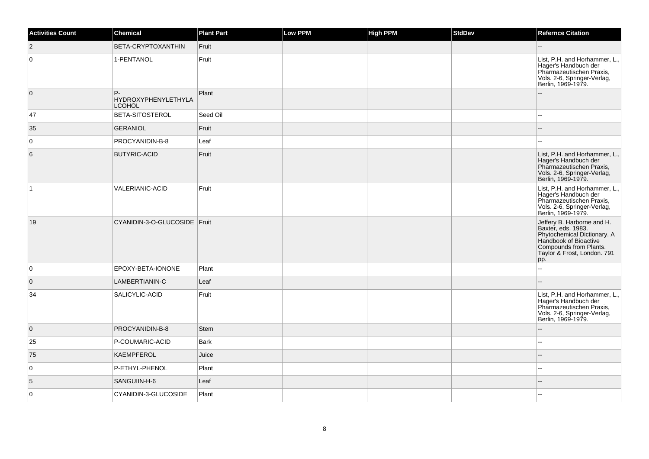| <b>Activities Count</b> | Chemical                                   | <b>Plant Part</b> | Low PPM | <b>High PPM</b> | <b>StdDev</b> | <b>Refernce Citation</b>                                                                                                                                                 |
|-------------------------|--------------------------------------------|-------------------|---------|-----------------|---------------|--------------------------------------------------------------------------------------------------------------------------------------------------------------------------|
| $\vert$ 2               | BETA-CRYPTOXANTHIN                         | Fruit             |         |                 |               |                                                                                                                                                                          |
| $\overline{0}$          | 1-PENTANOL                                 | Fruit             |         |                 |               | List, P.H. and Horhammer, L.,<br>Hager's Handbuch der<br>Pharmazeutischen Praxis,<br>Vols. 2-6, Springer-Verlag,<br>Berlin, 1969-1979.                                   |
| $\overline{0}$          | P-<br>HYDROXYPHENYLETHYLA<br><b>LCOHOL</b> | Plant             |         |                 |               |                                                                                                                                                                          |
| 47                      | BETA-SITOSTEROL                            | Seed Oil          |         |                 |               |                                                                                                                                                                          |
| 35                      | <b>GERANIOL</b>                            | Fruit             |         |                 |               |                                                                                                                                                                          |
| $\overline{0}$          | PROCYANIDIN-B-8                            | Leaf              |         |                 |               |                                                                                                                                                                          |
| 6                       | <b>BUTYRIC-ACID</b>                        | Fruit             |         |                 |               | List, P.H. and Horhammer, L.,<br>Hager's Handbuch der<br>Pharmazeutischen Praxis,<br>Vols. 2-6, Springer-Verlag,<br>Berlin, 1969-1979.                                   |
| $\vert$ 1               | <b>VALERIANIC-ACID</b>                     | Fruit             |         |                 |               | List, P.H. and Horhammer, L.,<br>Hager's Handbuch der<br>Pharmazeutischen Praxis,<br>Vols. 2-6, Springer-Verlag,<br>Berlin, 1969-1979.                                   |
| 19                      | CYANIDIN-3-O-GLUCOSIDE Fruit               |                   |         |                 |               | Jeffery B. Harborne and H.<br>Baxter, eds. 1983.<br>Phytochemical Dictionary. A<br>Handbook of Bioactive<br>Compounds from Plants.<br>Taylor & Frost, London. 791<br>pp. |
| 0                       | EPOXY-BETA-IONONE                          | Plant             |         |                 |               | L.                                                                                                                                                                       |
| 0                       | LAMBERTIANIN-C                             | Leaf              |         |                 |               |                                                                                                                                                                          |
| 34                      | SALICYLIC-ACID                             | Fruit             |         |                 |               | List, P.H. and Horhammer, L.,<br>Hager's Handbuch der<br>Pharmazeutischen Praxis,<br>Vols. 2-6, Springer-Verlag,<br>Berlin, 1969-1979.                                   |
| $\overline{0}$          | PROCYANIDIN-B-8                            | Stem              |         |                 |               | $-$                                                                                                                                                                      |
| 25                      | P-COUMARIC-ACID                            | Bark              |         |                 |               |                                                                                                                                                                          |
| 75                      | KAEMPFEROL                                 | Juice             |         |                 |               |                                                                                                                                                                          |
| $\overline{0}$          | P-ETHYL-PHENOL                             | Plant             |         |                 |               |                                                                                                                                                                          |
| 5                       | SANGUIIN-H-6                               | Leaf              |         |                 |               |                                                                                                                                                                          |
| $\overline{0}$          | CYANIDIN-3-GLUCOSIDE                       | Plant             |         |                 |               |                                                                                                                                                                          |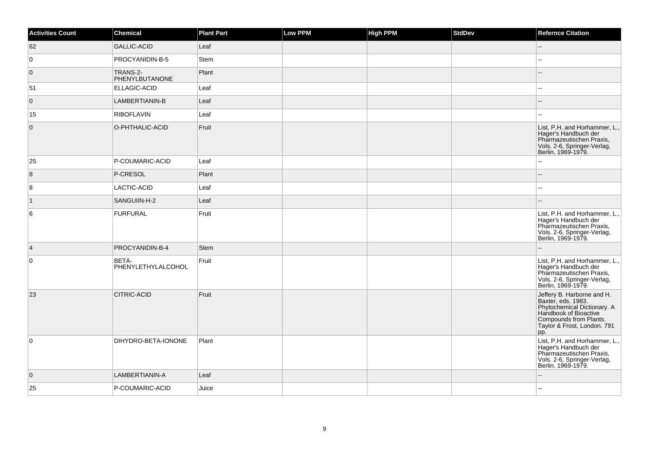| <b>Activities Count</b> | Chemical                    | <b>Plant Part</b> | <b>Low PPM</b> | <b>High PPM</b> | <b>StdDev</b> | <b>Refernce Citation</b>                                                                                                                                                 |
|-------------------------|-----------------------------|-------------------|----------------|-----------------|---------------|--------------------------------------------------------------------------------------------------------------------------------------------------------------------------|
| 62                      | GALLIC-ACID                 | Leaf              |                |                 |               | $-$                                                                                                                                                                      |
| $\overline{0}$          | PROCYANIDIN-B-5             | Stem              |                |                 |               | --                                                                                                                                                                       |
| $\overline{0}$          | TRANS-2-<br>PHENYLBUTANONE  | Plant             |                |                 |               | --                                                                                                                                                                       |
| 51                      | <b>ELLAGIC-ACID</b>         | Leaf              |                |                 |               | $\overline{\phantom{a}}$                                                                                                                                                 |
| $\overline{0}$          | LAMBERTIANIN-B              | Leaf              |                |                 |               | $\overline{\phantom{a}}$                                                                                                                                                 |
| 15                      | RIBOFLAVIN                  | Leaf              |                |                 |               |                                                                                                                                                                          |
| $\overline{0}$          | O-PHTHALIC-ACID             | Fruit             |                |                 |               | List, P.H. and Horhammer, L.,<br>Hager's Handbuch der<br>Pharmazeutischen Praxis,<br>Vols. 2-6, Springer-Verlag,<br>Berlin, 1969-1979.                                   |
| 25                      | P-COUMARIC-ACID             | Leaf              |                |                 |               |                                                                                                                                                                          |
| $\overline{8}$          | P-CRESOL                    | Plant             |                |                 |               | ш,                                                                                                                                                                       |
| 8                       | LACTIC-ACID                 | Leaf              |                |                 |               | $\mathbf{u}$                                                                                                                                                             |
| $\vert$ 1               | SANGUIIN-H-2                | Leaf              |                |                 |               |                                                                                                                                                                          |
| 6                       | FURFURAL                    | Fruit             |                |                 |               | List, P.H. and Horhammer, L.,<br>Hager's Handbuch der<br>Pharmazeutischen Praxis,<br>Vols. 2-6, Springer-Verlag,<br>Berlin, 1969-1979.                                   |
| $\vert 4 \vert$         | PROCYANIDIN-B-4             | Stem              |                |                 |               |                                                                                                                                                                          |
| $\overline{0}$          | BETA-<br>PHENYLETHYLALCOHOL | Fruit             |                |                 |               | List, P.H. and Horhammer, L.,<br>Hager's Handbuch der<br>Pharmazeutischen Praxis,<br>Vols. 2-6, Springer-Verlag,<br>Berlin, 1969-1979.                                   |
| 23                      | <b>CITRIC-ACID</b>          | Fruit             |                |                 |               | Jeffery B. Harborne and H.<br>Baxter, eds. 1983.<br>Phytochemical Dictionary. A<br>Handbook of Bioactive<br>Compounds from Plants.<br>Taylor & Frost, London. 791<br>pp. |
| $\overline{0}$          | DIHYDRO-BETA-IONONE         | Plant             |                |                 |               | List, P.H. and Horhammer, L.,<br>Hager's Handbuch der<br>Pharmazeutischen Praxis,<br>Vols. 2-6, Springer-Verlag,<br>Berlin, 1969-1979.                                   |
| $\overline{0}$          | LAMBERTIANIN-A              | Leaf              |                |                 |               |                                                                                                                                                                          |
| 25                      | P-COUMARIC-ACID             | Juice             |                |                 |               |                                                                                                                                                                          |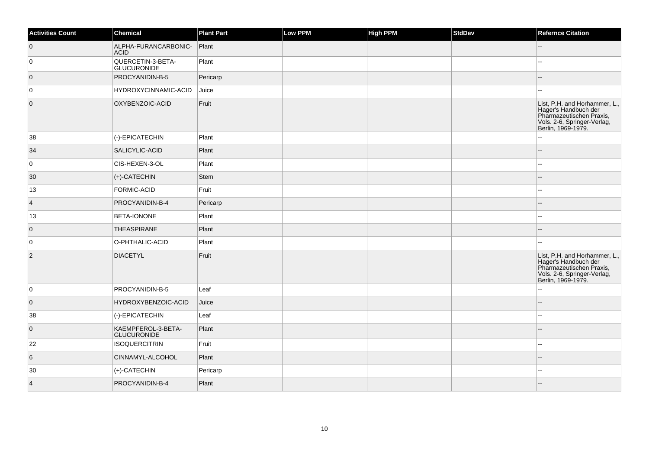| <b>Activities Count</b> | Chemical                                 | <b>Plant Part</b> | Low PPM | <b>High PPM</b> | StdDev | <b>Refernce Citation</b>                                                                                                               |
|-------------------------|------------------------------------------|-------------------|---------|-----------------|--------|----------------------------------------------------------------------------------------------------------------------------------------|
| $\overline{0}$          | ALPHA-FURANCARBONIC-<br><b>ACID</b>      | Plant             |         |                 |        |                                                                                                                                        |
| 0                       | QUERCETIN-3-BETA-<br><b>GLUCURONIDE</b>  | Plant             |         |                 |        | --                                                                                                                                     |
| $\overline{0}$          | PROCYANIDIN-B-5                          | Pericarp          |         |                 |        |                                                                                                                                        |
| 0                       | HYDROXYCINNAMIC-ACID                     | Juice             |         |                 |        |                                                                                                                                        |
| $\overline{0}$          | OXYBENZOIC-ACID                          | Fruit             |         |                 |        | List, P.H. and Horhammer, L.,<br>Hager's Handbuch der<br>Pharmazeutischen Praxis,<br>Vols. 2-6, Springer-Verlag,<br>Berlin, 1969-1979. |
| 38                      | (-)-EPICATECHIN                          | Plant             |         |                 |        |                                                                                                                                        |
| 34                      | SALICYLIC-ACID                           | Plant             |         |                 |        |                                                                                                                                        |
| 0                       | CIS-HEXEN-3-OL                           | Plant             |         |                 |        | ۵۵                                                                                                                                     |
| 30                      | $ $ (+)-CATECHIN                         | Stem              |         |                 |        |                                                                                                                                        |
| 13                      | FORMIC-ACID                              | Fruit             |         |                 |        | --                                                                                                                                     |
| $\vert$ 4               | PROCYANIDIN-B-4                          | Pericarp          |         |                 |        | $\overline{a}$                                                                                                                         |
| 13                      | <b>BETA-IONONE</b>                       | Plant             |         |                 |        | --                                                                                                                                     |
| $\overline{0}$          | THEASPIRANE                              | Plant             |         |                 |        |                                                                                                                                        |
| 0                       | O-PHTHALIC-ACID                          | Plant             |         |                 |        |                                                                                                                                        |
| $\overline{2}$          | <b>DIACETYL</b>                          | Fruit             |         |                 |        | List, P.H. and Horhammer, L.,<br>Hager's Handbuch der<br>Pharmazeutischen Praxis,<br>Vols. 2-6, Springer-Verlag,<br>Berlin, 1969-1979. |
| 0                       | PROCYANIDIN-B-5                          | Leaf              |         |                 |        | ۵۵                                                                                                                                     |
| $\overline{0}$          | HYDROXYBENZOIC-ACID                      | Juice             |         |                 |        |                                                                                                                                        |
| 38                      | (-)-EPICATECHIN                          | Leaf              |         |                 |        |                                                                                                                                        |
| $\overline{0}$          | KAEMPFEROL-3-BETA-<br><b>GLUCURONIDE</b> | Plant             |         |                 |        | $-$                                                                                                                                    |
| 22                      | <b>ISOQUERCITRIN</b>                     | Fruit             |         |                 |        |                                                                                                                                        |
| $6\overline{6}$         | CINNAMYL-ALCOHOL                         | Plant             |         |                 |        |                                                                                                                                        |
| 30                      | $ $ (+)-CATECHIN                         | Pericarp          |         |                 |        |                                                                                                                                        |
| $\vert$ 4               | PROCYANIDIN-B-4                          | Plant             |         |                 |        |                                                                                                                                        |